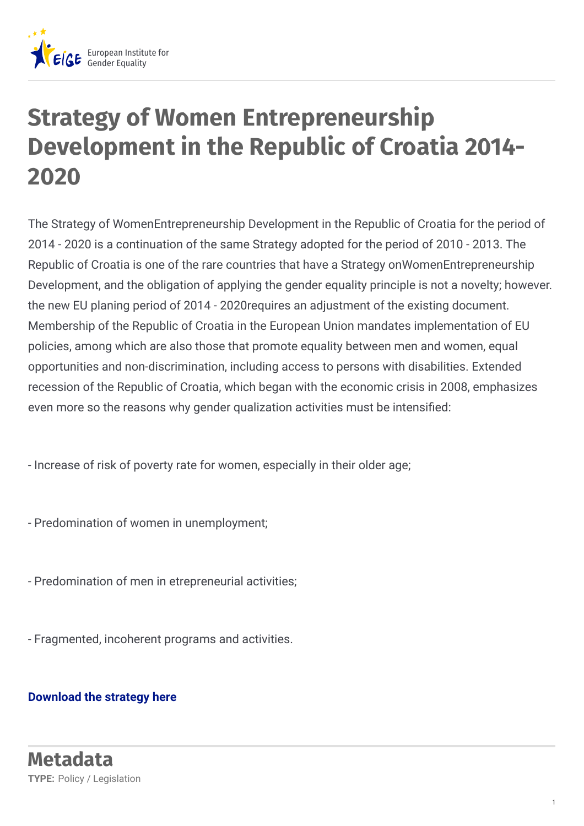

## **Strategy of Women Entrepreneurship Development in the Republic of Croatia 2014- 2020**

The Strategy of WomenEntrepreneurship Development in the Republic of Croatia for the period of 2014 - 2020 is a continuation of the same Strategy adopted for the period of 2010 - 2013. The Republic of Croatia is one of the rare countries that have a Strategy onWomenEntrepreneurship Development, and the obligation of applying the gender equality principle is not a novelty; however. the new EU planing period of 2014 - 2020requires an adjustment of the existing document. Membership of the Republic of Croatia in the European Union mandates implementation of EU policies, among which are also those that promote equality between men and women, equal opportunities and non-discrimination, including access to persons with disabilities. Extended recession of the Republic of Croatia, which began with the economic crisis in 2008, emphasizes even more so the reasons why gender qualization activities must be intensified:

- Increase of risk of poverty rate for women, especially in their older age;

- Predomination of women in unemployment;
- Predomination of men in etrepreneurial activities;
- Fragmented, incoherent programs and activities.

## **[Download](http://www.seecel.hr/UserDocsImages/Documents/Strategy_WE_Development_Croatia_2014-2020.pdf) the strategy here**